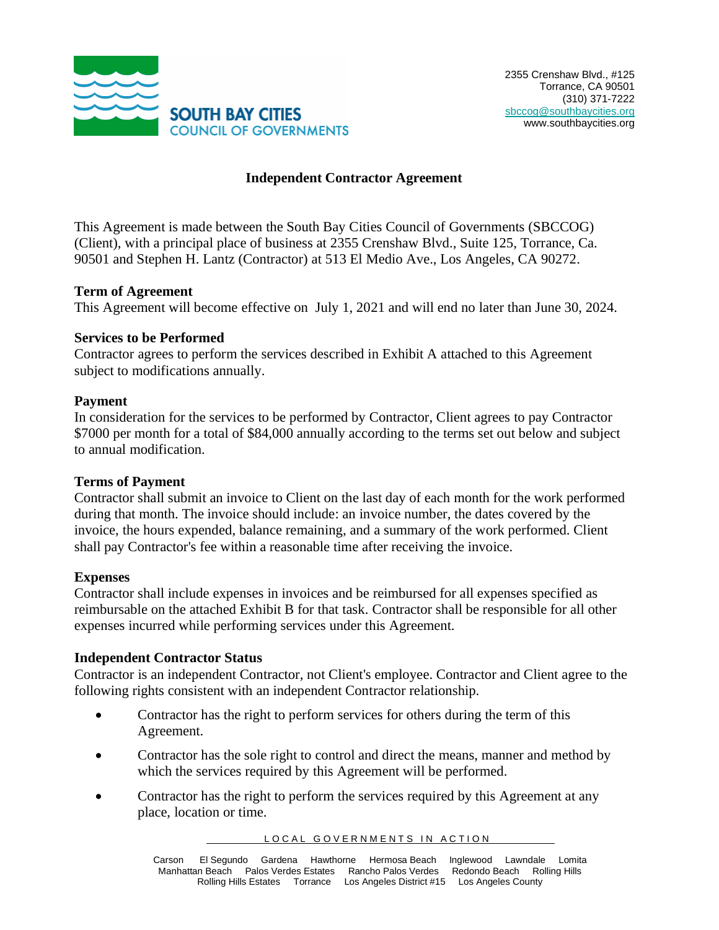

#### **Independent Contractor Agreement**

This Agreement is made between the South Bay Cities Council of Governments (SBCCOG) (Client), with a principal place of business at 2355 Crenshaw Blvd., Suite 125, Torrance, Ca. 90501 and Stephen H. Lantz (Contractor) at 513 El Medio Ave., Los Angeles, CA 90272.

#### **Term of Agreement**

This Agreement will become effective on July 1, 2021 and will end no later than June 30, 2024.

#### **Services to be Performed**

Contractor agrees to perform the services described in Exhibit A attached to this Agreement subject to modifications annually.

#### **Payment**

In consideration for the services to be performed by Contractor, Client agrees to pay Contractor \$7000 per month for a total of \$84,000 annually according to the terms set out below and subject to annual modification.

#### **Terms of Payment**

Contractor shall submit an invoice to Client on the last day of each month for the work performed during that month. The invoice should include: an invoice number, the dates covered by the invoice, the hours expended, balance remaining, and a summary of the work performed. Client shall pay Contractor's fee within a reasonable time after receiving the invoice.

#### **Expenses**

Contractor shall include expenses in invoices and be reimbursed for all expenses specified as reimbursable on the attached Exhibit B for that task. Contractor shall be responsible for all other expenses incurred while performing services under this Agreement.

#### **Independent Contractor Status**

Contractor is an independent Contractor, not Client's employee. Contractor and Client agree to the following rights consistent with an independent Contractor relationship.

- Contractor has the right to perform services for others during the term of this Agreement.
- Contractor has the sole right to control and direct the means, manner and method by which the services required by this Agreement will be performed.
- Contractor has the right to perform the services required by this Agreement at any place, location or time.

LOCAL GOVERNMENTS IN ACTION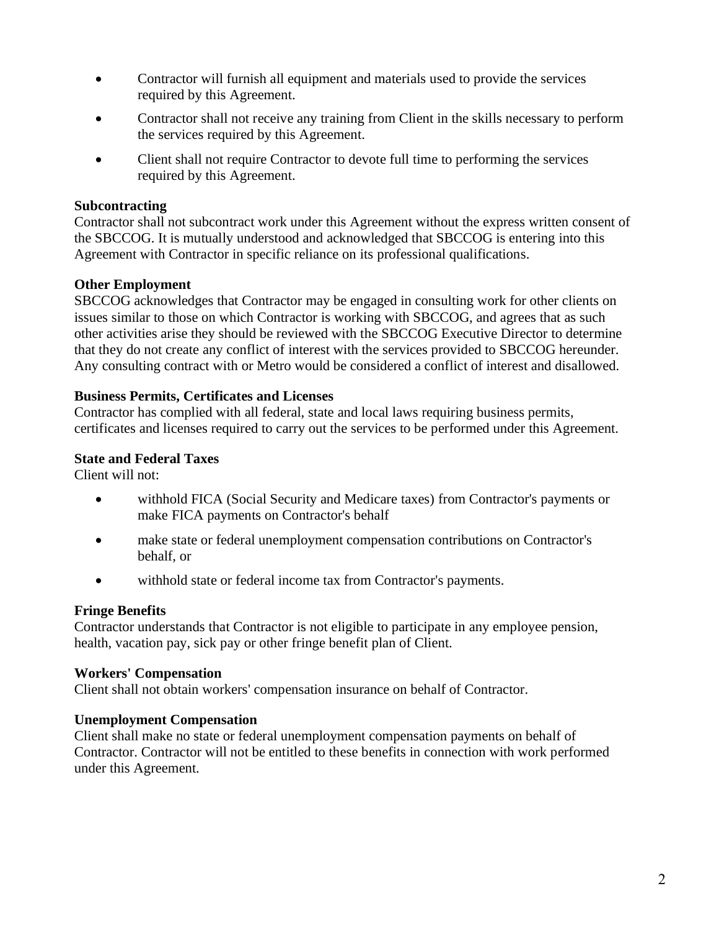- Contractor will furnish all equipment and materials used to provide the services required by this Agreement.
- Contractor shall not receive any training from Client in the skills necessary to perform the services required by this Agreement.
- Client shall not require Contractor to devote full time to performing the services required by this Agreement.

#### **Subcontracting**

Contractor shall not subcontract work under this Agreement without the express written consent of the SBCCOG. It is mutually understood and acknowledged that SBCCOG is entering into this Agreement with Contractor in specific reliance on its professional qualifications.

## **Other Employment**

SBCCOG acknowledges that Contractor may be engaged in consulting work for other clients on issues similar to those on which Contractor is working with SBCCOG, and agrees that as such other activities arise they should be reviewed with the SBCCOG Executive Director to determine that they do not create any conflict of interest with the services provided to SBCCOG hereunder. Any consulting contract with or Metro would be considered a conflict of interest and disallowed.

## **Business Permits, Certificates and Licenses**

Contractor has complied with all federal, state and local laws requiring business permits, certificates and licenses required to carry out the services to be performed under this Agreement.

### **State and Federal Taxes**

Client will not:

- withhold FICA (Social Security and Medicare taxes) from Contractor's payments or make FICA payments on Contractor's behalf
- make state or federal unemployment compensation contributions on Contractor's behalf, or
- withhold state or federal income tax from Contractor's payments.

#### **Fringe Benefits**

Contractor understands that Contractor is not eligible to participate in any employee pension, health, vacation pay, sick pay or other fringe benefit plan of Client.

#### **Workers' Compensation**

Client shall not obtain workers' compensation insurance on behalf of Contractor.

#### **Unemployment Compensation**

Client shall make no state or federal unemployment compensation payments on behalf of Contractor. Contractor will not be entitled to these benefits in connection with work performed under this Agreement.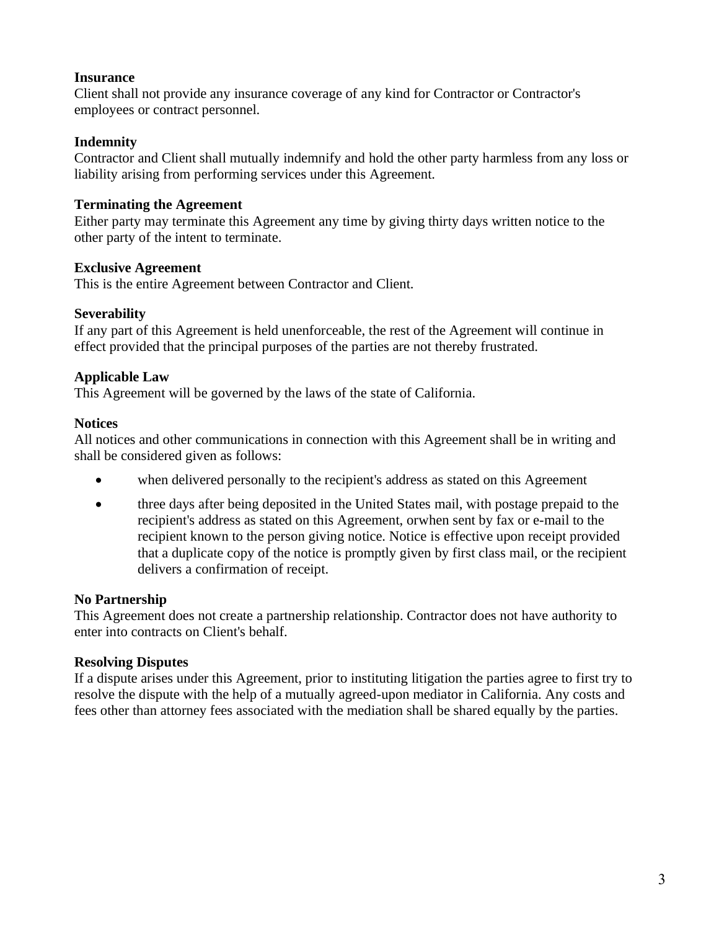### **Insurance**

Client shall not provide any insurance coverage of any kind for Contractor or Contractor's employees or contract personnel.

### **Indemnity**

Contractor and Client shall mutually indemnify and hold the other party harmless from any loss or liability arising from performing services under this Agreement.

## **Terminating the Agreement**

Either party may terminate this Agreement any time by giving thirty days written notice to the other party of the intent to terminate.

## **Exclusive Agreement**

This is the entire Agreement between Contractor and Client.

## **Severability**

If any part of this Agreement is held unenforceable, the rest of the Agreement will continue in effect provided that the principal purposes of the parties are not thereby frustrated.

## **Applicable Law**

This Agreement will be governed by the laws of the state of California.

## **Notices**

All notices and other communications in connection with this Agreement shall be in writing and shall be considered given as follows:

- when delivered personally to the recipient's address as stated on this Agreement
- three days after being deposited in the United States mail, with postage prepaid to the recipient's address as stated on this Agreement, orwhen sent by fax or e-mail to the recipient known to the person giving notice. Notice is effective upon receipt provided that a duplicate copy of the notice is promptly given by first class mail, or the recipient delivers a confirmation of receipt.

# **No Partnership**

This Agreement does not create a partnership relationship. Contractor does not have authority to enter into contracts on Client's behalf.

# **Resolving Disputes**

If a dispute arises under this Agreement, prior to instituting litigation the parties agree to first try to resolve the dispute with the help of a mutually agreed-upon mediator in California. Any costs and fees other than attorney fees associated with the mediation shall be shared equally by the parties.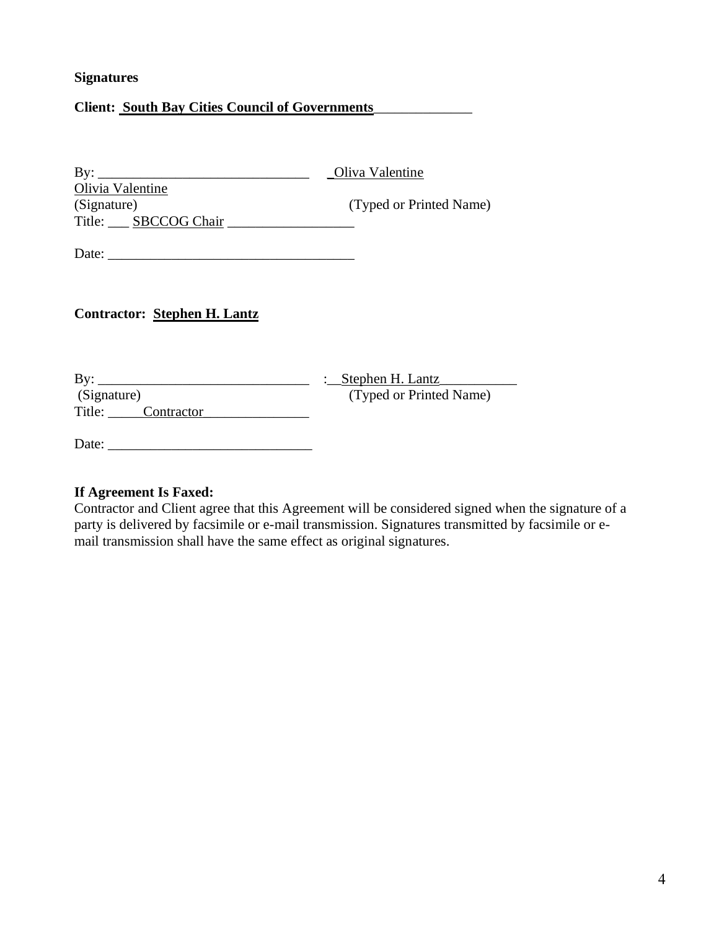### **Signatures**

# **Client: South Bay Cities Council of Governments**\_\_\_\_\_\_\_\_\_\_\_\_\_\_

| $\mathbf{B} \mathbf{y}$ : | Oliva Valentine         |
|---------------------------|-------------------------|
| Olivia Valentine          |                         |
| (Signature)               | (Typed or Printed Name) |
| Title: SBCCOG Chair       |                         |
|                           |                         |

Date: \_\_\_\_\_\_\_\_\_\_\_\_\_\_\_\_\_\_\_\_\_\_\_\_\_\_\_\_\_\_\_\_\_\_\_

#### **Contractor: Stephen H. Lantz**

| By:                  | : Stephen H. Lantz      |
|----------------------|-------------------------|
| (Signature)          | (Typed or Printed Name) |
| Title:<br>Contractor |                         |

Date: \_\_\_\_\_\_\_\_\_\_\_\_\_\_\_\_\_\_\_\_\_\_\_\_\_\_\_\_\_

# **If Agreement Is Faxed:**

Contractor and Client agree that this Agreement will be considered signed when the signature of a party is delivered by facsimile or e-mail transmission. Signatures transmitted by facsimile or email transmission shall have the same effect as original signatures.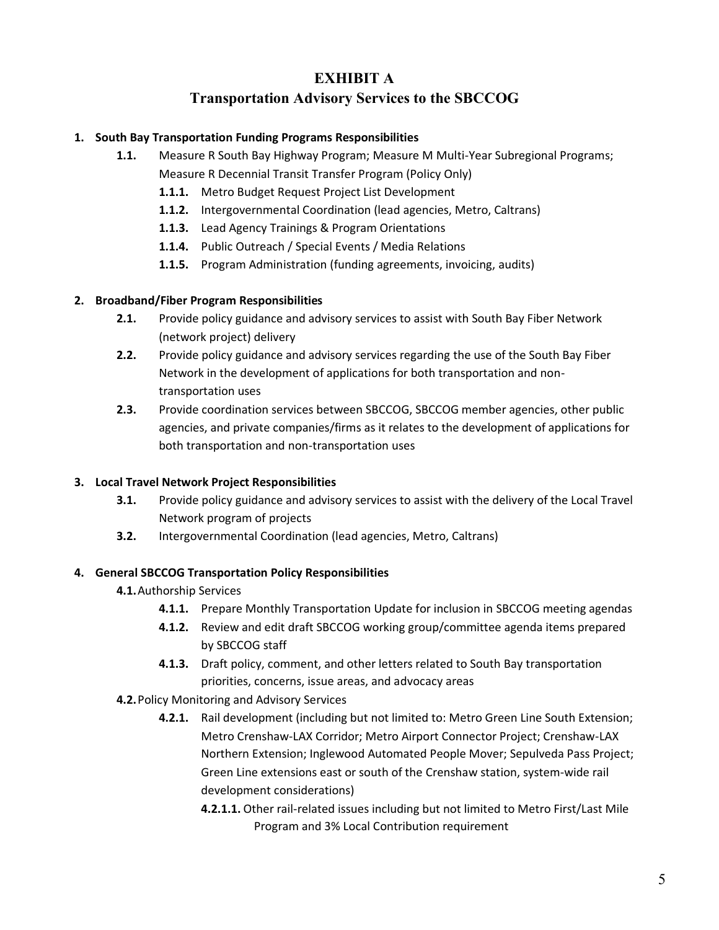# **EXHIBIT A**

# **Transportation Advisory Services to the SBCCOG**

#### **1. South Bay Transportation Funding Programs Responsibilities**

- **1.1.** Measure R South Bay Highway Program; Measure M Multi-Year Subregional Programs; Measure R Decennial Transit Transfer Program (Policy Only)
	- **1.1.1.** Metro Budget Request Project List Development
	- **1.1.2.** Intergovernmental Coordination (lead agencies, Metro, Caltrans)
	- **1.1.3.** Lead Agency Trainings & Program Orientations
	- **1.1.4.** Public Outreach / Special Events / Media Relations
	- **1.1.5.** Program Administration (funding agreements, invoicing, audits)

#### **2. Broadband/Fiber Program Responsibilities**

- **2.1.** Provide policy guidance and advisory services to assist with South Bay Fiber Network (network project) delivery
- **2.2.** Provide policy guidance and advisory services regarding the use of the South Bay Fiber Network in the development of applications for both transportation and nontransportation uses
- **2.3.** Provide coordination services between SBCCOG, SBCCOG member agencies, other public agencies, and private companies/firms as it relates to the development of applications for both transportation and non-transportation uses

#### **3. Local Travel Network Project Responsibilities**

- **3.1.** Provide policy guidance and advisory services to assist with the delivery of the Local Travel Network program of projects
- **3.2.** Intergovernmental Coordination (lead agencies, Metro, Caltrans)

#### **4. General SBCCOG Transportation Policy Responsibilities**

#### **4.1.**Authorship Services

- **4.1.1.** Prepare Monthly Transportation Update for inclusion in SBCCOG meeting agendas
- **4.1.2.** Review and edit draft SBCCOG working group/committee agenda items prepared by SBCCOG staff
- **4.1.3.** Draft policy, comment, and other letters related to South Bay transportation priorities, concerns, issue areas, and advocacy areas
- **4.2.**Policy Monitoring and Advisory Services
	- **4.2.1.** Rail development (including but not limited to: Metro Green Line South Extension; Metro Crenshaw-LAX Corridor; Metro Airport Connector Project; Crenshaw-LAX Northern Extension; Inglewood Automated People Mover; Sepulveda Pass Project; Green Line extensions east or south of the Crenshaw station, system-wide rail development considerations)
		- **4.2.1.1.** Other rail-related issues including but not limited to Metro First/Last Mile Program and 3% Local Contribution requirement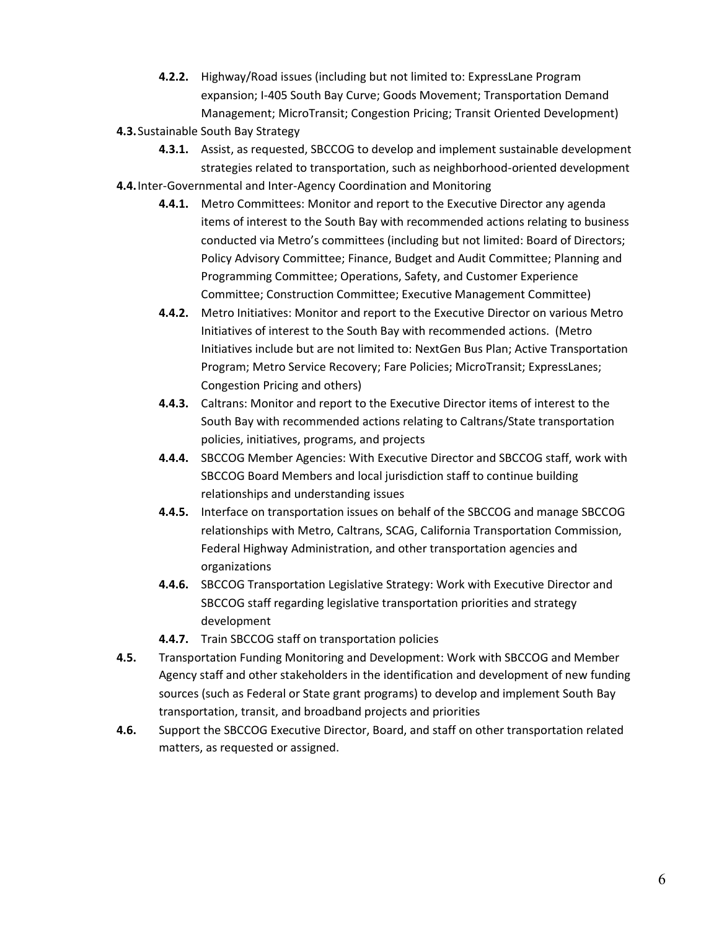- **4.2.2.** Highway/Road issues (including but not limited to: ExpressLane Program expansion; I-405 South Bay Curve; Goods Movement; Transportation Demand Management; MicroTransit; Congestion Pricing; Transit Oriented Development)
- **4.3.**Sustainable South Bay Strategy
	- **4.3.1.** Assist, as requested, SBCCOG to develop and implement sustainable development strategies related to transportation, such as neighborhood-oriented development
- **4.4.**Inter-Governmental and Inter-Agency Coordination and Monitoring
	- **4.4.1.** Metro Committees: Monitor and report to the Executive Director any agenda items of interest to the South Bay with recommended actions relating to business conducted via Metro's committees (including but not limited: Board of Directors; Policy Advisory Committee; Finance, Budget and Audit Committee; Planning and Programming Committee; Operations, Safety, and Customer Experience Committee; Construction Committee; Executive Management Committee)
	- **4.4.2.** Metro Initiatives: Monitor and report to the Executive Director on various Metro Initiatives of interest to the South Bay with recommended actions. (Metro Initiatives include but are not limited to: NextGen Bus Plan; Active Transportation Program; Metro Service Recovery; Fare Policies; MicroTransit; ExpressLanes; Congestion Pricing and others)
	- **4.4.3.** Caltrans: Monitor and report to the Executive Director items of interest to the South Bay with recommended actions relating to Caltrans/State transportation policies, initiatives, programs, and projects
	- **4.4.4.** SBCCOG Member Agencies: With Executive Director and SBCCOG staff, work with SBCCOG Board Members and local jurisdiction staff to continue building relationships and understanding issues
	- **4.4.5.** Interface on transportation issues on behalf of the SBCCOG and manage SBCCOG relationships with Metro, Caltrans, SCAG, California Transportation Commission, Federal Highway Administration, and other transportation agencies and organizations
	- **4.4.6.** SBCCOG Transportation Legislative Strategy: Work with Executive Director and SBCCOG staff regarding legislative transportation priorities and strategy development
	- **4.4.7.** Train SBCCOG staff on transportation policies
- **4.5.** Transportation Funding Monitoring and Development: Work with SBCCOG and Member Agency staff and other stakeholders in the identification and development of new funding sources (such as Federal or State grant programs) to develop and implement South Bay transportation, transit, and broadband projects and priorities
- **4.6.** Support the SBCCOG Executive Director, Board, and staff on other transportation related matters, as requested or assigned.